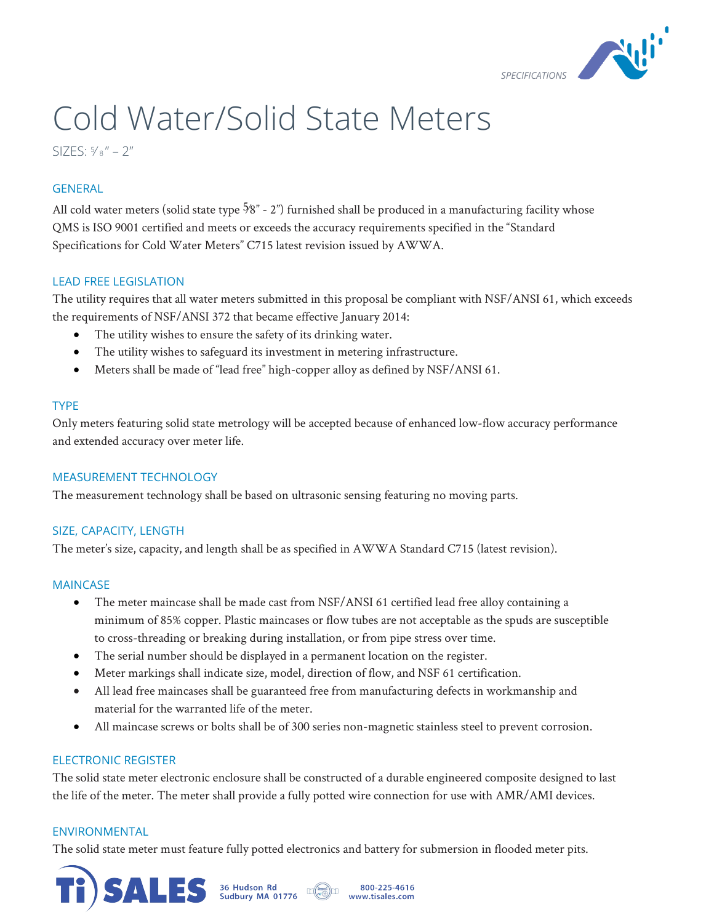

# Cold Water/Solid State Meters

SIZES:  $\frac{5}{8}$ " – 2"

# **GENERAL**

All cold water meters (solid state type  $\frac{5}{8}$ " - 2") furnished shall be produced in a manufacturing facility whose QMS is ISO 9001 certified and meets or exceeds the accuracy requirements specified in the "Standard Specifications for Cold Water Meters" C715 latest revision issued by AWWA.

# LEAD FREE LEGISLATION

The utility requires that all water meters submitted in this proposal be compliant with NSF/ANSI 61, which exceeds the requirements of NSF/ANSI 372 that became effective January 2014:

- The utility wishes to ensure the safety of its drinking water.
- The utility wishes to safeguard its investment in metering infrastructure.
- Meters shall be made of "lead free" high-copper alloy as defined by NSF/ANSI 61.

# TYPE

Only meters featuring solid state metrology will be accepted because of enhanced low-flow accuracy performance and extended accuracy over meter life.

# MEASUREMENT TECHNOLOGY

The measurement technology shall be based on ultrasonic sensing featuring no moving parts.

## SIZE, CAPACITY, LENGTH

The meter's size, capacity, and length shall be as specified in AWWA Standard C715 (latest revision).

## MAINCASE

- The meter maincase shall be made cast from NSF/ANSI 61 certified lead free alloy containing a minimum of 85% copper. Plastic maincases or flow tubes are not acceptable as the spuds are susceptible to cross-threading or breaking during installation, or from pipe stress over time.
- The serial number should be displayed in a permanent location on the register.
- Meter markings shall indicate size, model, direction of flow, and NSF 61 certification.
- All lead free maincases shall be guaranteed free from manufacturing defects in workmanship and material for the warranted life of the meter.
- All maincase screws or bolts shall be of 300 series non-magnetic stainless steel to prevent corrosion.

## ELECTRONIC REGISTER

The solid state meter electronic enclosure shall be constructed of a durable engineered composite designed to last the life of the meter. The meter shall provide a fully potted wire connection for use with AMR/AMI devices.

#### ENVIRONMENTAL

The solid state meter must feature fully potted electronics and battery for submersion in flooded meter pits.